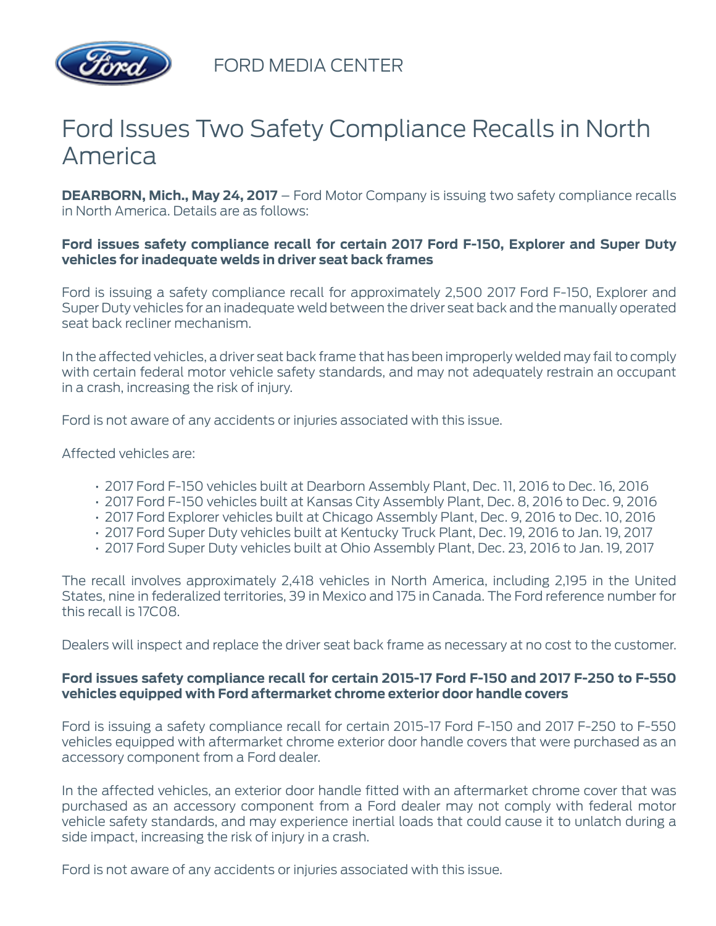

FORD MEDIA CENTER

## Ford Issues Two Safety Compliance Recalls in North America

**DEARBORN, Mich., May 24, 2017** – Ford Motor Company is issuing two safety compliance recalls in North America. Details are as follows:

## **Ford issues safety compliance recall for certain 2017 Ford F-150, Explorer and Super Duty vehicles for inadequate welds in driver seat back frames**

Ford is issuing a safety compliance recall for approximately 2,500 2017 Ford F-150, Explorer and Super Duty vehicles for an inadequate weld between the driver seat back and the manually operated seat back recliner mechanism.

In the affected vehicles, a driver seat back frame that has been improperly welded may fail to comply with certain federal motor vehicle safety standards, and may not adequately restrain an occupant in a crash, increasing the risk of injury.

Ford is not aware of any accidents or injuries associated with this issue.

Affected vehicles are:

- 2017 Ford F-150 vehicles built at Dearborn Assembly Plant, Dec. 11, 2016 to Dec. 16, 2016
- 2017 Ford F-150 vehicles built at Kansas City Assembly Plant, Dec. 8, 2016 to Dec. 9, 2016
- 2017 Ford Explorer vehicles built at Chicago Assembly Plant, Dec. 9, 2016 to Dec. 10, 2016
- 2017 Ford Super Duty vehicles built at Kentucky Truck Plant, Dec. 19, 2016 to Jan. 19, 2017
- 2017 Ford Super Duty vehicles built at Ohio Assembly Plant, Dec. 23, 2016 to Jan. 19, 2017

The recall involves approximately 2,418 vehicles in North America, including 2,195 in the United States, nine in federalized territories, 39 in Mexico and 175 in Canada. The Ford reference number for this recall is 17C08.

Dealers will inspect and replace the driver seat back frame as necessary at no cost to the customer.

## **Ford issues safety compliance recall for certain 2015-17 Ford F-150 and 2017 F-250 to F-550 vehicles equipped with Ford aftermarket chrome exterior door handle covers**

Ford is issuing a safety compliance recall for certain 2015-17 Ford F-150 and 2017 F-250 to F-550 vehicles equipped with aftermarket chrome exterior door handle covers that were purchased as an accessory component from a Ford dealer.

In the affected vehicles, an exterior door handle fitted with an aftermarket chrome cover that was purchased as an accessory component from a Ford dealer may not comply with federal motor vehicle safety standards, and may experience inertial loads that could cause it to unlatch during a side impact, increasing the risk of injury in a crash.

Ford is not aware of any accidents or injuries associated with this issue.